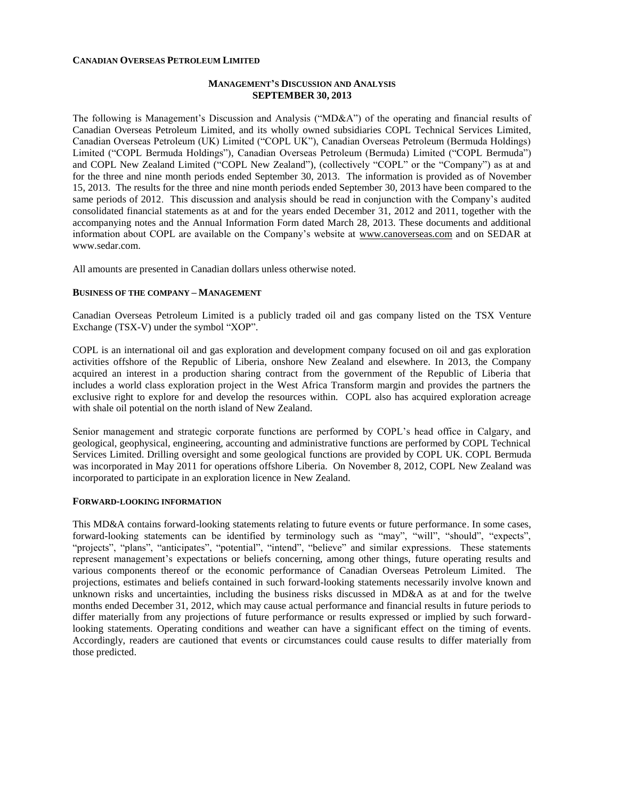#### **CANADIAN OVERSEAS PETROLEUM LIMITED**

### **MANAGEMENT'S DISCUSSION AND ANALYSIS SEPTEMBER 30, 2013**

The following is Management's Discussion and Analysis ("MD&A") of the operating and financial results of Canadian Overseas Petroleum Limited, and its wholly owned subsidiaries COPL Technical Services Limited, Canadian Overseas Petroleum (UK) Limited ("COPL UK"), Canadian Overseas Petroleum (Bermuda Holdings) Limited ("COPL Bermuda Holdings"), Canadian Overseas Petroleum (Bermuda) Limited ("COPL Bermuda") and COPL New Zealand Limited ("COPL New Zealand"), (collectively "COPL" or the "Company") as at and for the three and nine month periods ended September 30, 2013. The information is provided as of November 15, 2013. The results for the three and nine month periods ended September 30, 2013 have been compared to the same periods of 2012. This discussion and analysis should be read in conjunction with the Company's audited consolidated financial statements as at and for the years ended December 31, 2012 and 2011, together with the accompanying notes and the Annual Information Form dated March 28, 2013. These documents and additional information about COPL are available on the Company's website at [www.canoverseas.com](http://www.canoverseas.com/) and on SEDAR at [www.sedar.com.](http://www.sedar.com/)

All amounts are presented in Canadian dollars unless otherwise noted.

#### **BUSINESS OF THE COMPANY – MANAGEMENT**

Canadian Overseas Petroleum Limited is a publicly traded oil and gas company listed on the TSX Venture Exchange (TSX-V) under the symbol "XOP".

COPL is an international oil and gas exploration and development company focused on oil and gas exploration activities offshore of the Republic of Liberia, onshore New Zealand and elsewhere. In 2013, the Company acquired an interest in a production sharing contract from the government of the Republic of Liberia that includes a world class exploration project in the West Africa Transform margin and provides the partners the exclusive right to explore for and develop the resources within. COPL also has acquired exploration acreage with shale oil potential on the north island of New Zealand.

Senior management and strategic corporate functions are performed by COPL's head office in Calgary, and geological, geophysical, engineering, accounting and administrative functions are performed by COPL Technical Services Limited. Drilling oversight and some geological functions are provided by COPL UK. COPL Bermuda was incorporated in May 2011 for operations offshore Liberia. On November 8, 2012, COPL New Zealand was incorporated to participate in an exploration licence in New Zealand.

#### **FORWARD-LOOKING INFORMATION**

This MD&A contains forward-looking statements relating to future events or future performance. In some cases, forward-looking statements can be identified by terminology such as "may", "will", "should", "expects", "projects", "plans", "anticipates", "potential", "intend", "believe" and similar expressions. These statements represent management's expectations or beliefs concerning, among other things, future operating results and various components thereof or the economic performance of Canadian Overseas Petroleum Limited. The projections, estimates and beliefs contained in such forward-looking statements necessarily involve known and unknown risks and uncertainties, including the business risks discussed in MD&A as at and for the twelve months ended December 31, 2012, which may cause actual performance and financial results in future periods to differ materially from any projections of future performance or results expressed or implied by such forwardlooking statements. Operating conditions and weather can have a significant effect on the timing of events. Accordingly, readers are cautioned that events or circumstances could cause results to differ materially from those predicted.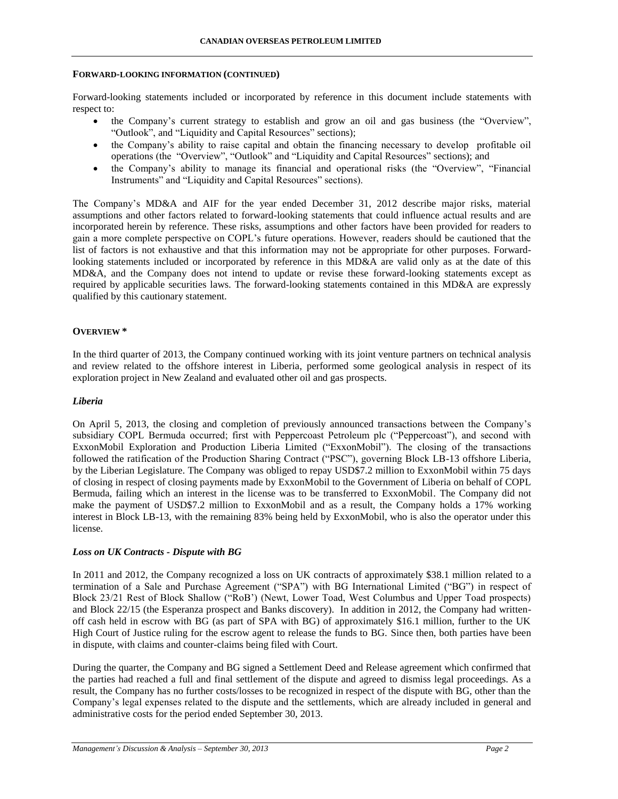#### **FORWARD-LOOKING INFORMATION (CONTINUED)**

Forward-looking statements included or incorporated by reference in this document include statements with respect to:

- the Company's current strategy to establish and grow an oil and gas business (the "Overview", "Outlook", and "Liquidity and Capital Resources" sections);
- the Company's ability to raise capital and obtain the financing necessary to develop profitable oil operations (the "Overview", "Outlook" and "Liquidity and Capital Resources" sections); and
- the Company's ability to manage its financial and operational risks (the "Overview", "Financial Instruments" and "Liquidity and Capital Resources" sections).

The Company's MD&A and AIF for the year ended December 31, 2012 describe major risks, material assumptions and other factors related to forward-looking statements that could influence actual results and are incorporated herein by reference. These risks, assumptions and other factors have been provided for readers to gain a more complete perspective on COPL's future operations. However, readers should be cautioned that the list of factors is not exhaustive and that this information may not be appropriate for other purposes. Forwardlooking statements included or incorporated by reference in this MD&A are valid only as at the date of this MD&A, and the Company does not intend to update or revise these forward-looking statements except as required by applicable securities laws. The forward-looking statements contained in this MD&A are expressly qualified by this cautionary statement.

### **OVERVIEW \***

In the third quarter of 2013, the Company continued working with its joint venture partners on technical analysis and review related to the offshore interest in Liberia, performed some geological analysis in respect of its exploration project in New Zealand and evaluated other oil and gas prospects.

### *Liberia*

On April 5, 2013, the closing and completion of previously announced transactions between the Company's subsidiary COPL Bermuda occurred; first with Peppercoast Petroleum plc ("Peppercoast"), and second with ExxonMobil Exploration and Production Liberia Limited ("ExxonMobil"). The closing of the transactions followed the ratification of the Production Sharing Contract ("PSC"), governing Block LB-13 offshore Liberia, by the Liberian Legislature. The Company was obliged to repay USD\$7.2 million to ExxonMobil within 75 days of closing in respect of closing payments made by ExxonMobil to the Government of Liberia on behalf of COPL Bermuda, failing which an interest in the license was to be transferred to ExxonMobil. The Company did not make the payment of USD\$7.2 million to ExxonMobil and as a result, the Company holds a 17% working interest in Block LB-13, with the remaining 83% being held by ExxonMobil, who is also the operator under this license.

### *Loss on UK Contracts - Dispute with BG*

In 2011 and 2012, the Company recognized a loss on UK contracts of approximately \$38.1 million related to a termination of a Sale and Purchase Agreement ("SPA") with BG International Limited ("BG") in respect of Block 23/21 Rest of Block Shallow ("RoB') (Newt, Lower Toad, West Columbus and Upper Toad prospects) and Block 22/15 (the Esperanza prospect and Banks discovery). In addition in 2012, the Company had writtenoff cash held in escrow with BG (as part of SPA with BG) of approximately \$16.1 million, further to the UK High Court of Justice ruling for the escrow agent to release the funds to BG. Since then, both parties have been in dispute, with claims and counter-claims being filed with Court.

During the quarter, the Company and BG signed a Settlement Deed and Release agreement which confirmed that the parties had reached a full and final settlement of the dispute and agreed to dismiss legal proceedings. As a result, the Company has no further costs/losses to be recognized in respect of the dispute with BG, other than the Company's legal expenses related to the dispute and the settlements, which are already included in general and administrative costs for the period ended September 30, 2013.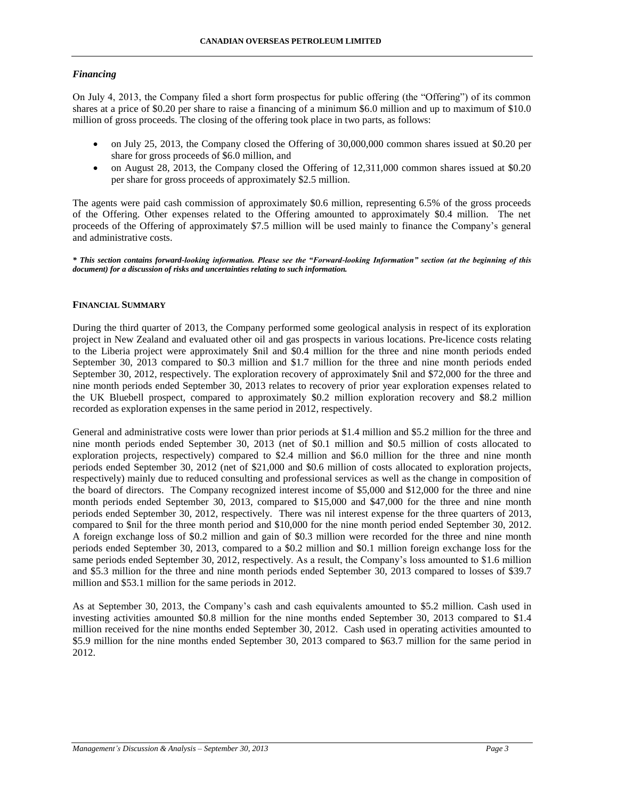# *Financing*

On July 4, 2013, the Company filed a short form prospectus for public offering (the "Offering") of its common shares at a price of \$0.20 per share to raise a financing of a minimum \$6.0 million and up to maximum of \$10.0 million of gross proceeds. The closing of the offering took place in two parts, as follows:

- on July 25, 2013, the Company closed the Offering of 30,000,000 common shares issued at \$0.20 per share for gross proceeds of \$6.0 million, and
- on August 28, 2013, the Company closed the Offering of 12,311,000 common shares issued at \$0.20 per share for gross proceeds of approximately \$2.5 million.

The agents were paid cash commission of approximately \$0.6 million, representing 6.5% of the gross proceeds of the Offering. Other expenses related to the Offering amounted to approximately \$0.4 million. The net proceeds of the Offering of approximately \$7.5 million will be used mainly to finance the Company's general and administrative costs.

*\* This section contains forward-looking information. Please see the "Forward-looking Information" section (at the beginning of this document) for a discussion of risks and uncertainties relating to such information.*

# **FINANCIAL SUMMARY**

During the third quarter of 2013, the Company performed some geological analysis in respect of its exploration project in New Zealand and evaluated other oil and gas prospects in various locations. Pre-licence costs relating to the Liberia project were approximately \$nil and \$0.4 million for the three and nine month periods ended September 30, 2013 compared to \$0.3 million and \$1.7 million for the three and nine month periods ended September 30, 2012, respectively. The exploration recovery of approximately \$nil and \$72,000 for the three and nine month periods ended September 30, 2013 relates to recovery of prior year exploration expenses related to the UK Bluebell prospect, compared to approximately \$0.2 million exploration recovery and \$8.2 million recorded as exploration expenses in the same period in 2012, respectively.

General and administrative costs were lower than prior periods at \$1.4 million and \$5.2 million for the three and nine month periods ended September 30, 2013 (net of \$0.1 million and \$0.5 million of costs allocated to exploration projects, respectively) compared to \$2.4 million and \$6.0 million for the three and nine month periods ended September 30, 2012 (net of \$21,000 and \$0.6 million of costs allocated to exploration projects, respectively) mainly due to reduced consulting and professional services as well as the change in composition of the board of directors. The Company recognized interest income of \$5,000 and \$12,000 for the three and nine month periods ended September 30, 2013, compared to \$15,000 and \$47,000 for the three and nine month periods ended September 30, 2012, respectively. There was nil interest expense for the three quarters of 2013, compared to \$nil for the three month period and \$10,000 for the nine month period ended September 30, 2012. A foreign exchange loss of \$0.2 million and gain of \$0.3 million were recorded for the three and nine month periods ended September 30, 2013, compared to a \$0.2 million and \$0.1 million foreign exchange loss for the same periods ended September 30, 2012, respectively. As a result, the Company's loss amounted to \$1.6 million and \$5.3 million for the three and nine month periods ended September 30, 2013 compared to losses of \$39.7 million and \$53.1 million for the same periods in 2012.

As at September 30, 2013, the Company's cash and cash equivalents amounted to \$5.2 million. Cash used in investing activities amounted \$0.8 million for the nine months ended September 30, 2013 compared to \$1.4 million received for the nine months ended September 30, 2012. Cash used in operating activities amounted to \$5.9 million for the nine months ended September 30, 2013 compared to \$63.7 million for the same period in 2012.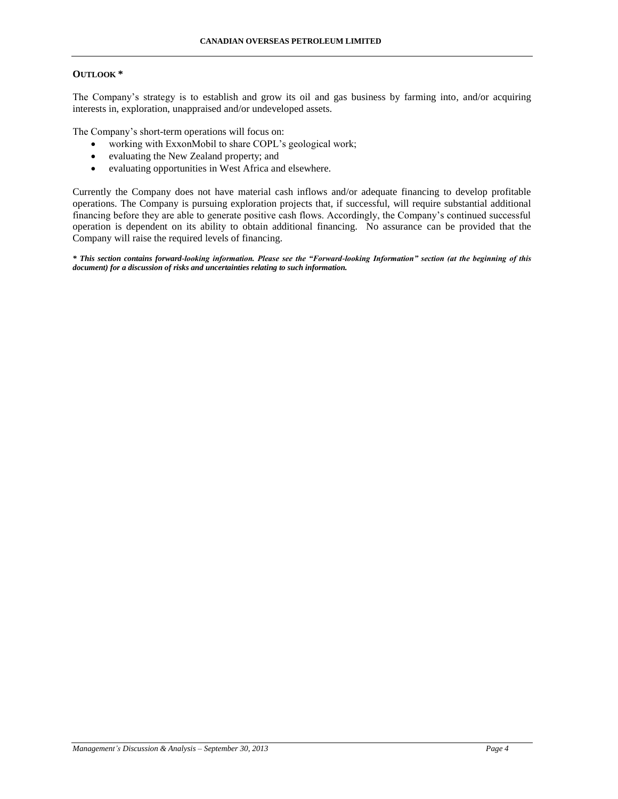# **OUTLOOK \***

The Company's strategy is to establish and grow its oil and gas business by farming into, and/or acquiring interests in, exploration, unappraised and/or undeveloped assets.

The Company's short-term operations will focus on:

- working with ExxonMobil to share COPL's geological work;
- evaluating the New Zealand property; and
- evaluating opportunities in West Africa and elsewhere.

Currently the Company does not have material cash inflows and/or adequate financing to develop profitable operations. The Company is pursuing exploration projects that, if successful, will require substantial additional financing before they are able to generate positive cash flows. Accordingly, the Company's continued successful operation is dependent on its ability to obtain additional financing. No assurance can be provided that the Company will raise the required levels of financing.

*\* This section contains forward-looking information. Please see the "Forward-looking Information" section (at the beginning of this document) for a discussion of risks and uncertainties relating to such information.*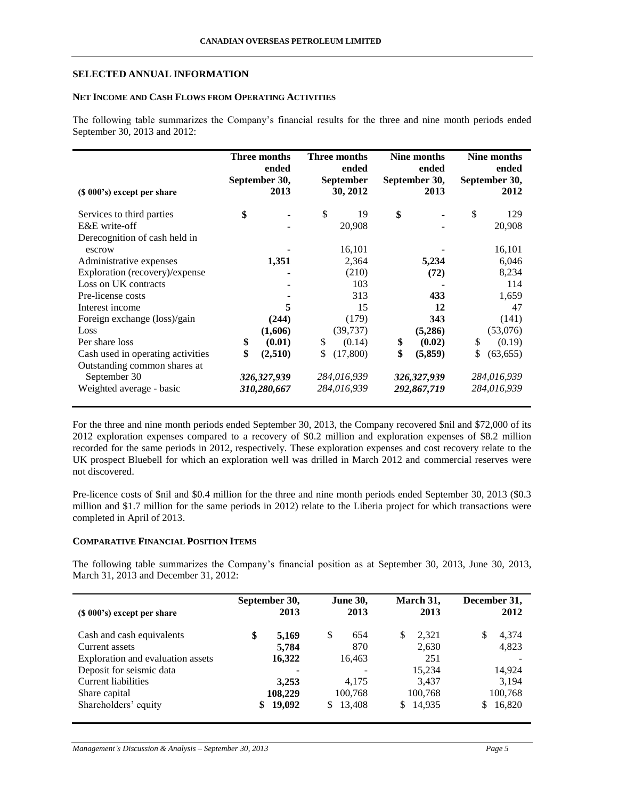# **SELECTED ANNUAL INFORMATION**

# **NET INCOME AND CASH FLOWS FROM OPERATING ACTIVITIES**

The following table summarizes the Company's financial results for the three and nine month periods ended September 30, 2013 and 2012:

| (\$ 000's) except per share       | Three months<br>ended<br>September 30,<br>2013 |             | Three months<br>ended<br><b>September</b><br>30, 2012 |             | Nine months<br>ended<br>September 30,<br>2013 |             | Nine months<br>ended<br>September 30,<br>2012 |             |
|-----------------------------------|------------------------------------------------|-------------|-------------------------------------------------------|-------------|-----------------------------------------------|-------------|-----------------------------------------------|-------------|
| Services to third parties         | \$                                             |             | \$                                                    | 19          | \$                                            |             | \$                                            | 129         |
| E&E write-off                     |                                                |             |                                                       | 20,908      |                                               |             |                                               | 20,908      |
| Derecognition of cash held in     |                                                |             |                                                       |             |                                               |             |                                               |             |
| escrow                            |                                                |             |                                                       | 16,101      |                                               |             |                                               | 16,101      |
| Administrative expenses           |                                                | 1,351       |                                                       | 2,364       |                                               | 5,234       |                                               | 6,046       |
| Exploration (recovery)/expense    |                                                |             |                                                       | (210)       |                                               | (72)        |                                               | 8,234       |
| Loss on UK contracts              |                                                |             |                                                       | 103         |                                               |             |                                               | 114         |
| Pre-license costs                 |                                                |             |                                                       | 313         |                                               | 433         |                                               | 1,659       |
| Interest income                   |                                                | 5           |                                                       | 15          |                                               | 12          |                                               | 47          |
| Foreign exchange (loss)/gain      |                                                | (244)       |                                                       | (179)       |                                               | 343         |                                               | (141)       |
| Loss                              |                                                | (1,606)     |                                                       | (39, 737)   |                                               | (5,286)     |                                               | (53,076)    |
| Per share loss                    | \$                                             | (0.01)      | <sup>\$</sup>                                         | (0.14)      | \$                                            | (0.02)      | \$                                            | (0.19)      |
| Cash used in operating activities | \$                                             | (2,510)     | S                                                     | (17,800)    | \$                                            | (5,859)     | \$                                            | (63, 655)   |
| Outstanding common shares at      |                                                |             |                                                       |             |                                               |             |                                               |             |
| September 30                      |                                                | 326,327,939 |                                                       | 284,016,939 |                                               | 326,327,939 |                                               | 284,016,939 |
| Weighted average - basic          |                                                | 310,280,667 |                                                       | 284,016,939 |                                               | 292,867,719 |                                               | 284,016,939 |

For the three and nine month periods ended September 30, 2013, the Company recovered \$nil and \$72,000 of its 2012 exploration expenses compared to a recovery of \$0.2 million and exploration expenses of \$8.2 million recorded for the same periods in 2012, respectively. These exploration expenses and cost recovery relate to the UK prospect Bluebell for which an exploration well was drilled in March 2012 and commercial reserves were not discovered.

Pre-licence costs of \$nil and \$0.4 million for the three and nine month periods ended September 30, 2013 (\$0.3 million and \$1.7 million for the same periods in 2012) relate to the Liberia project for which transactions were completed in April of 2013.

## **COMPARATIVE FINANCIAL POSITION ITEMS**

The following table summarizes the Company's financial position as at September 30, 2013, June 30, 2013, March 31, 2013 and December 31, 2012:

| $(S 000's)$ except per share      | September 30,<br>2013 |         | <b>June 30,</b><br>2013 |         | March 31,<br>2013 |         | December 31,<br>2012 |         |
|-----------------------------------|-----------------------|---------|-------------------------|---------|-------------------|---------|----------------------|---------|
| Cash and cash equivalents         | \$                    | 5,169   | \$                      | 654     | S                 | 2,321   | S                    | 4,374   |
| Current assets                    |                       | 5,784   |                         | 870     |                   | 2,630   |                      | 4,823   |
| Exploration and evaluation assets |                       | 16,322  |                         | 16,463  |                   | 251     |                      |         |
| Deposit for seismic data          |                       | ۰       |                         |         |                   | 15,234  |                      | 14,924  |
| Current liabilities               |                       | 3,253   |                         | 4,175   |                   | 3,437   |                      | 3,194   |
| Share capital                     |                       | 108,229 |                         | 100,768 |                   | 100,768 |                      | 100,768 |
| Shareholders' equity              | S.                    | 19,092  | S.                      | 13,408  |                   | 14,935  | S                    | 16,820  |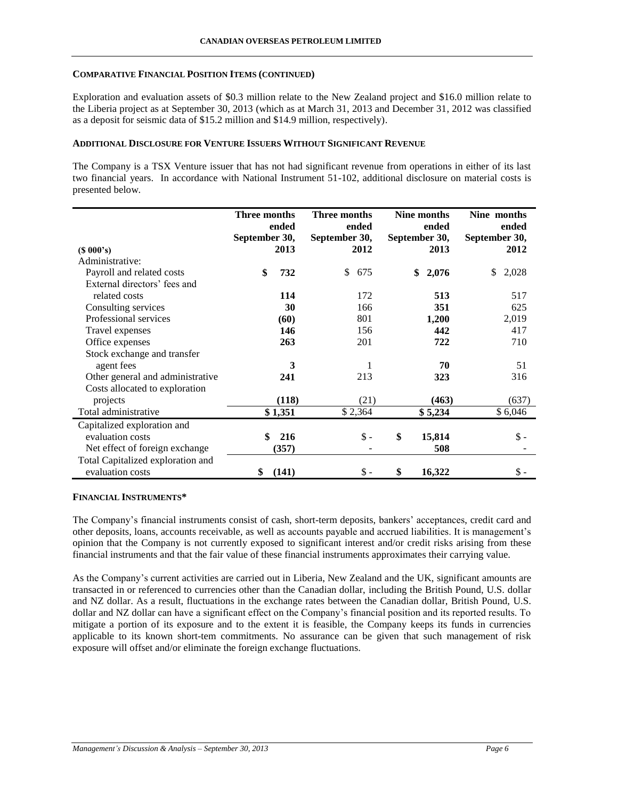### **COMPARATIVE FINANCIAL POSITION ITEMS (CONTINUED)**

Exploration and evaluation assets of \$0.3 million relate to the New Zealand project and \$16.0 million relate to the Liberia project as at September 30, 2013 (which as at March 31, 2013 and December 31, 2012 was classified as a deposit for seismic data of \$15.2 million and \$14.9 million, respectively).

### **ADDITIONAL DISCLOSURE FOR VENTURE ISSUERS WITHOUT SIGNIFICANT REVENUE**

The Company is a TSX Venture issuer that has not had significant revenue from operations in either of its last two financial years. In accordance with National Instrument 51-102, additional disclosure on material costs is presented below.

|                                   | Three months<br>ended |         | Three months<br>ended |                 | Nine months<br>ended |         | Nine months<br>ended |                |
|-----------------------------------|-----------------------|---------|-----------------------|-----------------|----------------------|---------|----------------------|----------------|
|                                   | September 30,         | 2013    | September 30,         | 2012            | September 30,        | 2013    | September 30,        | 2012           |
| $(S\ 000's)$<br>Administrative:   |                       |         |                       |                 |                      |         |                      |                |
| Payroll and related costs         | \$                    | 732     | \$                    | 675             | \$                   | 2,076   | \$                   | 2,028          |
| External directors' fees and      |                       |         |                       |                 |                      |         |                      |                |
| related costs                     |                       | 114     |                       | 172             |                      | 513     |                      | 517            |
|                                   |                       |         |                       |                 |                      |         |                      |                |
| Consulting services               |                       | 30      |                       | 166             |                      | 351     |                      | 625            |
| Professional services             |                       | (60)    |                       | 801             |                      | 1,200   |                      | 2,019          |
| Travel expenses                   |                       | 146     |                       | 156             |                      | 442     |                      | 417            |
| Office expenses                   |                       | 263     |                       | 201             |                      | 722     |                      | 710            |
| Stock exchange and transfer       |                       |         |                       |                 |                      |         |                      |                |
| agent fees                        |                       | 3       |                       | 1               |                      | 70      |                      | 51             |
| Other general and administrative  |                       | 241     |                       | 213             |                      | 323     |                      | 316            |
| Costs allocated to exploration    |                       |         |                       |                 |                      |         |                      |                |
| projects                          |                       | (118)   |                       | (21)            |                      | (463)   |                      | (637)          |
| Total administrative              |                       | \$1,351 |                       | \$2,364         |                      | \$5,234 |                      | \$6,046        |
| Capitalized exploration and       |                       |         |                       |                 |                      |         |                      |                |
| evaluation costs                  | \$                    | 216     |                       | $\frac{1}{2}$ - | \$                   | 15,814  |                      | $\mathbb{S}$ - |
| Net effect of foreign exchange    |                       | (357)   |                       |                 |                      | 508     |                      |                |
| Total Capitalized exploration and |                       |         |                       |                 |                      |         |                      |                |
| evaluation costs                  | \$                    | (141)   |                       | $\frac{1}{2}$ - | \$                   | 16,322  |                      | \$ -           |

# **FINANCIAL INSTRUMENTS\***

The Company's financial instruments consist of cash, short-term deposits, bankers' acceptances, credit card and other deposits, loans, accounts receivable, as well as accounts payable and accrued liabilities. It is management's opinion that the Company is not currently exposed to significant interest and/or credit risks arising from these financial instruments and that the fair value of these financial instruments approximates their carrying value.

As the Company's current activities are carried out in Liberia, New Zealand and the UK, significant amounts are transacted in or referenced to currencies other than the Canadian dollar, including the British Pound, U.S. dollar and NZ dollar. As a result, fluctuations in the exchange rates between the Canadian dollar, British Pound, U.S. dollar and NZ dollar can have a significant effect on the Company's financial position and its reported results. To mitigate a portion of its exposure and to the extent it is feasible, the Company keeps its funds in currencies applicable to its known short-tem commitments. No assurance can be given that such management of risk exposure will offset and/or eliminate the foreign exchange fluctuations.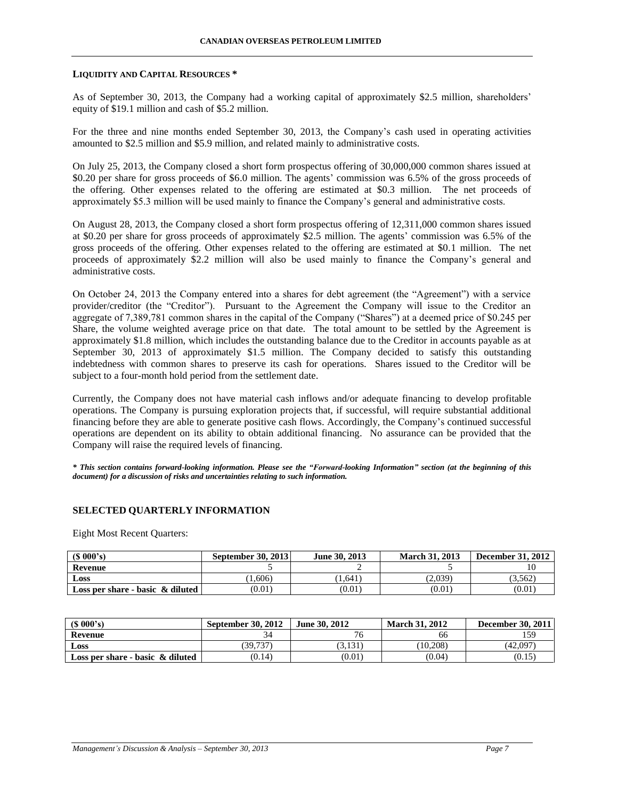#### **LIQUIDITY AND CAPITAL RESOURCES \***

As of September 30, 2013, the Company had a working capital of approximately \$2.5 million, shareholders' equity of \$19.1 million and cash of \$5.2 million.

For the three and nine months ended September 30, 2013, the Company's cash used in operating activities amounted to \$2.5 million and \$5.9 million, and related mainly to administrative costs.

On July 25, 2013, the Company closed a short form prospectus offering of 30,000,000 common shares issued at \$0.20 per share for gross proceeds of \$6.0 million. The agents' commission was 6.5% of the gross proceeds of the offering. Other expenses related to the offering are estimated at \$0.3 million. The net proceeds of approximately \$5.3 million will be used mainly to finance the Company's general and administrative costs.

On August 28, 2013, the Company closed a short form prospectus offering of 12,311,000 common shares issued at \$0.20 per share for gross proceeds of approximately \$2.5 million. The agents' commission was 6.5% of the gross proceeds of the offering. Other expenses related to the offering are estimated at \$0.1 million. The net proceeds of approximately \$2.2 million will also be used mainly to finance the Company's general and administrative costs.

On October 24, 2013 the Company entered into a shares for debt agreement (the "Agreement") with a service provider/creditor (the "Creditor"). Pursuant to the Agreement the Company will issue to the Creditor an aggregate of 7,389,781 common shares in the capital of the Company ("Shares") at a deemed price of \$0.245 per Share, the volume weighted average price on that date. The total amount to be settled by the Agreement is approximately \$1.8 million, which includes the outstanding balance due to the Creditor in accounts payable as at September 30, 2013 of approximately \$1.5 million. The Company decided to satisfy this outstanding indebtedness with common shares to preserve its cash for operations. Shares issued to the Creditor will be subject to a four-month hold period from the settlement date.

Currently, the Company does not have material cash inflows and/or adequate financing to develop profitable operations. The Company is pursuing exploration projects that, if successful, will require substantial additional financing before they are able to generate positive cash flows. Accordingly, the Company's continued successful operations are dependent on its ability to obtain additional financing. No assurance can be provided that the Company will raise the required levels of financing.

*\* This section contains forward-looking information. Please see the "Forward-looking Information" section (at the beginning of this document) for a discussion of risks and uncertainties relating to such information.*

# **SELECTED QUARTERLY INFORMATION**

Eight Most Recent Quarters:

| $(S\ 000's)$                        | <b>September 30, 2013</b> | June 30, 2013 | <b>March 31, 2013</b> | <b>December 31, 2012</b> |
|-------------------------------------|---------------------------|---------------|-----------------------|--------------------------|
| <b>Revenue</b>                      |                           |               |                       |                          |
| Loss                                | 1.606)                    | 1.641         | (2.039)               | (3.562)                  |
| Loss per share - basic $\&$ diluted | (0.01)                    | (0.01)        | (0.01)                | (0.01)                   |

| (S 000's)                           | <b>September 30, 2012</b> | June 30, 2012 | <b>March 31, 2012</b> | <b>December 30, 2011</b> |
|-------------------------------------|---------------------------|---------------|-----------------------|--------------------------|
| Revenue                             |                           | π,            | 66                    | 150                      |
| Loss                                | 39.737                    | 3,131         | (10.208)              | (42,097                  |
| Loss per share - basic $\&$ diluted | (0.14)                    | (0.01)        | (0.04)                | (0.15)                   |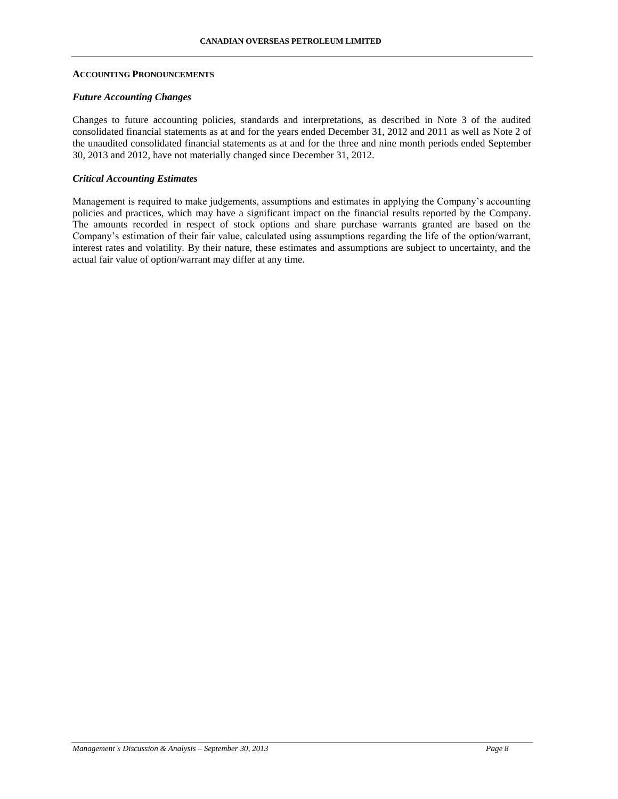#### **ACCOUNTING PRONOUNCEMENTS**

#### *Future Accounting Changes*

Changes to future accounting policies, standards and interpretations, as described in Note 3 of the audited consolidated financial statements as at and for the years ended December 31, 2012 and 2011 as well as Note 2 of the unaudited consolidated financial statements as at and for the three and nine month periods ended September 30, 2013 and 2012, have not materially changed since December 31, 2012.

### *Critical Accounting Estimates*

Management is required to make judgements, assumptions and estimates in applying the Company's accounting policies and practices, which may have a significant impact on the financial results reported by the Company. The amounts recorded in respect of stock options and share purchase warrants granted are based on the Company's estimation of their fair value, calculated using assumptions regarding the life of the option/warrant, interest rates and volatility. By their nature, these estimates and assumptions are subject to uncertainty, and the actual fair value of option/warrant may differ at any time.